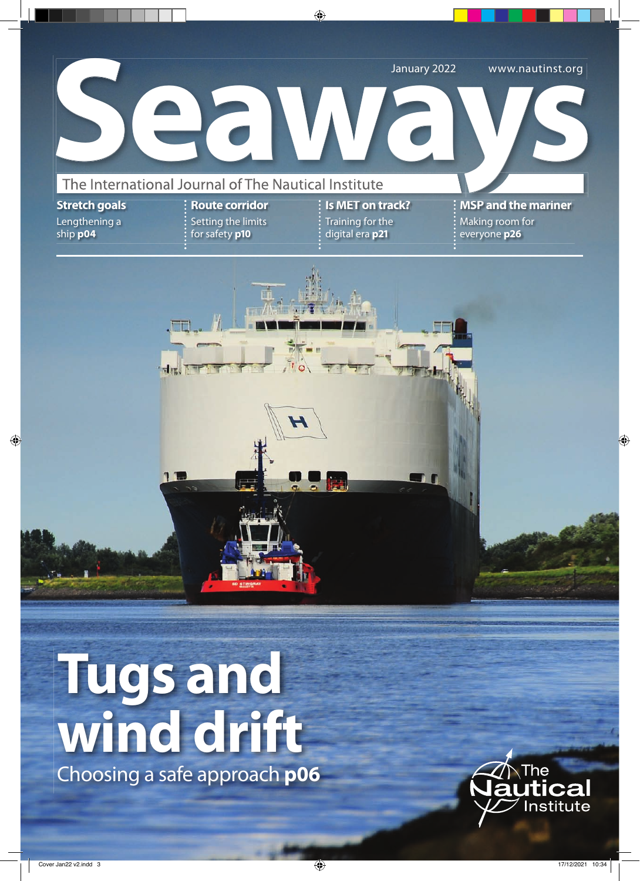

**Tugs and wind drift** Choosing a safe approach **p06**

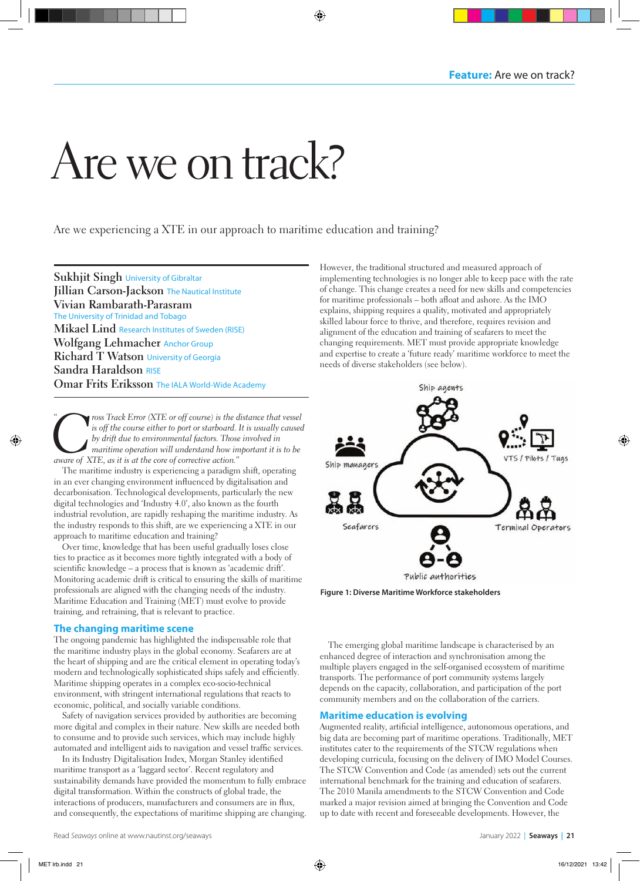# Are we on track?

Are we experiencing a XTE in our approach to maritime education and training?

**Sukhjit Singh** University of Gibraltar **Jillian Carson-Jackson** The Nautical Institute **Vivian Rambarath-Parasram**  The University of Trinidad and Tobago **Mikael Lind** Research Institutes of Sweden (RISE) **Wolfgang Lehmacher** Anchor Group **Richard T Watson** University of Georgia **Sandra Haraldson** RISE **Omar Frits Eriksson** The IALA World-Wide Academy

<sup>c</sup> ross Track Error (XTE or off course) is the distance that vessel<br>is off the course either to port or starboard. It is usually caused<br>by drift due to environmental factors. Those involved in<br>maritime operation will unde *is off the course either to port or starboard. It is usually caused by drift due to environmental factors. Those involved in maritime operation will understand how important it is to be aware of XTE, as it is at the core of corrective action."*  $\ddot{\phantom{0}}$ 

The maritime industry is experiencing a paradigm shift, operating in an ever changing environment influenced by digitalisation and decarbonisation. Technological developments, particularly the new digital technologies and 'Industry 4.0', also known as the fourth industrial revolution, are rapidly reshaping the maritime industry. As the industry responds to this shift, are we experiencing a XTE in our approach to maritime education and training?

Over time, knowledge that has been useful gradually loses close ties to practice as it becomes more tightly integrated with a body of scientific knowledge – a process that is known as 'academic drift'. Monitoring academic drift is critical to ensuring the skills of maritime professionals are aligned with the changing needs of the industry. Maritime Education and Training (MET) must evolve to provide training, and retraining, that is relevant to practice.

# **The changing maritime scene**

The ongoing pandemic has highlighted the indispensable role that the maritime industry plays in the global economy. Seafarers are at the heart of shipping and are the critical element in operating today's modern and technologically sophisticated ships safely and efficiently. Maritime shipping operates in a complex eco-socio-technical environment, with stringent international regulations that reacts to economic, political, and socially variable conditions.

Safety of navigation services provided by authorities are becoming more digital and complex in their nature. New skills are needed both to consume and to provide such services, which may include highly automated and intelligent aids to navigation and vessel traffic services.

In its Industry Digitalisation Index, Morgan Stanley identified maritime transport as a 'laggard sector'. Recent regulatory and sustainability demands have provided the momentum to fully embrace digital transformation. Within the constructs of global trade, the interactions of producers, manufacturers and consumers are in flux, and consequently, the expectations of maritime shipping are changing.

However, the traditional structured and measured approach of implementing technologies is no longer able to keep pace with the rate of change. This change creates a need for new skills and competencies for maritime professionals – both afloat and ashore. As the IMO explains, shipping requires a quality, motivated and appropriately skilled labour force to thrive, and therefore, requires revision and alignment of the education and training of seafarers to meet the changing requirements. MET must provide appropriate knowledge and expertise to create a 'future ready' maritime workforce to meet the needs of diverse stakeholders (see below).



**Figure 1: Diverse Maritime Workforce stakeholders**

The emerging global maritime landscape is characterised by an enhanced degree of interaction and synchronisation among the multiple players engaged in the self-organised ecosystem of maritime transports. The performance of port community systems largely depends on the capacity, collaboration, and participation of the port community members and on the collaboration of the carriers.

# **Maritime education is evolving**

Augmented reality, artificial intelligence, autonomous operations, and big data are becoming part of maritime operations. Traditionally, MET institutes cater to the requirements of the STCW regulations when developing curricula, focusing on the delivery of IMO Model Courses. The STCW Convention and Code (as amended) sets out the current international benchmark for the training and education of seafarers. The 2010 Manila amendments to the STCW Convention and Code marked a major revision aimed at bringing the Convention and Code up to date with recent and foreseeable developments. However, the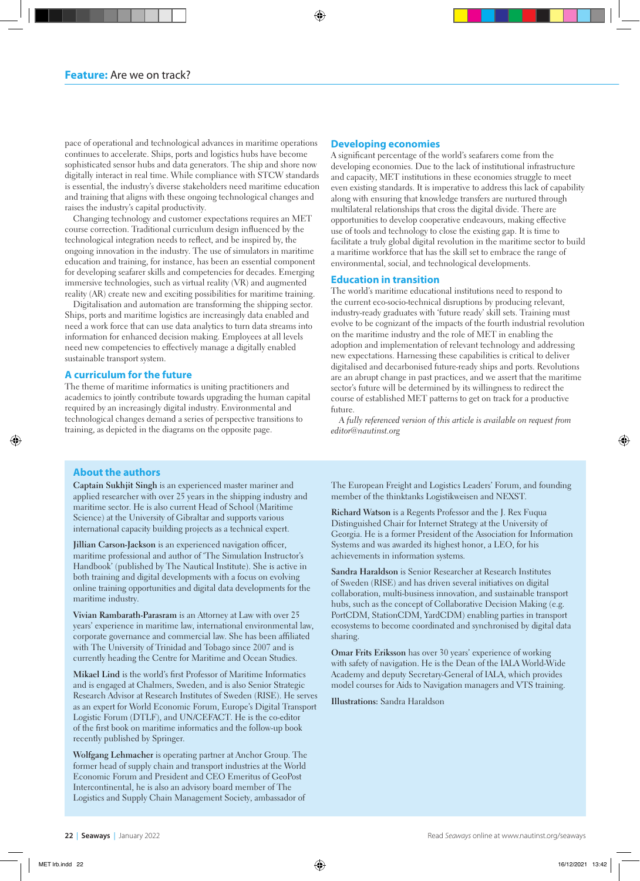pace of operational and technological advances in maritime operations continues to accelerate. Ships, ports and logistics hubs have become sophisticated sensor hubs and data generators. The ship and shore now digitally interact in real time. While compliance with STCW standards is essential, the industry's diverse stakeholders need maritime education and training that aligns with these ongoing technological changes and raises the industry's capital productivity.

Changing technology and customer expectations requires an MET course correction. Traditional curriculum design influenced by the technological integration needs to reflect, and be inspired by, the ongoing innovation in the industry. The use of simulators in maritime education and training, for instance, has been an essential component for developing seafarer skills and competencies for decades. Emerging immersive technologies, such as virtual reality (VR) and augmented reality (AR) create new and exciting possibilities for maritime training.

Digitalisation and automation are transforming the shipping sector. Ships, ports and maritime logistics are increasingly data enabled and need a work force that can use data analytics to turn data streams into information for enhanced decision making. Employees at all levels need new competencies to effectively manage a digitally enabled sustainable transport system.

## **A curriculum for the future**

The theme of maritime informatics is uniting practitioners and academics to jointly contribute towards upgrading the human capital required by an increasingly digital industry. Environmental and technological changes demand a series of perspective transitions to training, as depicted in the diagrams on the opposite page.

## **Developing economies**

A significant percentage of the world's seafarers come from the developing economies. Due to the lack of institutional infrastructure and capacity, MET institutions in these economies struggle to meet even existing standards. It is imperative to address this lack of capability along with ensuring that knowledge transfers are nurtured through multilateral relationships that cross the digital divide. There are opportunities to develop cooperative endeavours, making effective use of tools and technology to close the existing gap. It is time to facilitate a truly global digital revolution in the maritime sector to build a maritime workforce that has the skill set to embrace the range of environmental, social, and technological developments.

#### **Education in transition**

The world's maritime educational institutions need to respond to the current eco-socio-technical disruptions by producing relevant, industry-ready graduates with 'future ready' skill sets. Training must evolve to be cognizant of the impacts of the fourth industrial revolution on the maritime industry and the role of MET in enabling the adoption and implementation of relevant technology and addressing new expectations. Harnessing these capabilities is critical to deliver digitalised and decarbonised future-ready ships and ports. Revolutions are an abrupt change in past practices, and we assert that the maritime sector's future will be determined by its willingness to redirect the course of established MET patterns to get on track for a productive future.

*A fully referenced version of this article is available on request from editor@nautinst.org*

## **About the authors**

**Captain Sukhjit Singh** is an experienced master mariner and applied researcher with over 25 years in the shipping industry and maritime sector. He is also current Head of School (Maritime Science) at the University of Gibraltar and supports various international capacity building projects as a technical expert.

**Jillian Carson-Jackson** is an experienced navigation officer, maritime professional and author of 'The Simulation Instructor's Handbook' (published by The Nautical Institute). She is active in both training and digital developments with a focus on evolving online training opportunities and digital data developments for the maritime industry.

**Vivian Rambarath-Parasram** is an Attorney at Law with over 25 years' experience in maritime law, international environmental law, corporate governance and commercial law. She has been affiliated with The University of Trinidad and Tobago since 2007 and is currently heading the Centre for Maritime and Ocean Studies.

**Mikael Lind** is the world's first Professor of Maritime Informatics and is engaged at Chalmers, Sweden, and is also Senior Strategic Research Advisor at Research Institutes of Sweden (RISE). He serves as an expert for World Economic Forum, Europe's Digital Transport Logistic Forum (DTLF), and UN/CEFACT. He is the co-editor of the first book on maritime informatics and the follow-up book recently published by Springer.

**Wolfgang Lehmacher** is operating partner at Anchor Group. The former head of supply chain and transport industries at the World Economic Forum and President and CEO Emeritus of GeoPost Intercontinental, he is also an advisory board member of The Logistics and Supply Chain Management Society, ambassador of

The European Freight and Logistics Leaders' Forum, and founding member of the thinktanks Logistikweisen and NEXST.

**Richard Watson** is a Regents Professor and the J. Rex Fuqua Distinguished Chair for Internet Strategy at the University of Georgia. He is a former President of the Association for Information Systems and was awarded its highest honor, a LEO, for his achievements in information systems.

**Sandra Haraldson** is Senior Researcher at Research Institutes of Sweden (RISE) and has driven several initiatives on digital collaboration, multi-business innovation, and sustainable transport hubs, such as the concept of Collaborative Decision Making (e.g. PortCDM, StationCDM, YardCDM) enabling parties in transport ecosystems to become coordinated and synchronised by digital data sharing.

**Omar Frits Eriksson** has over 30 years' experience of working with safety of navigation. He is the Dean of the IALA World-Wide Academy and deputy Secretary-General of IALA, which provides model courses for Aids to Navigation managers and VTS training.

**Illustrations:** Sandra Haraldson